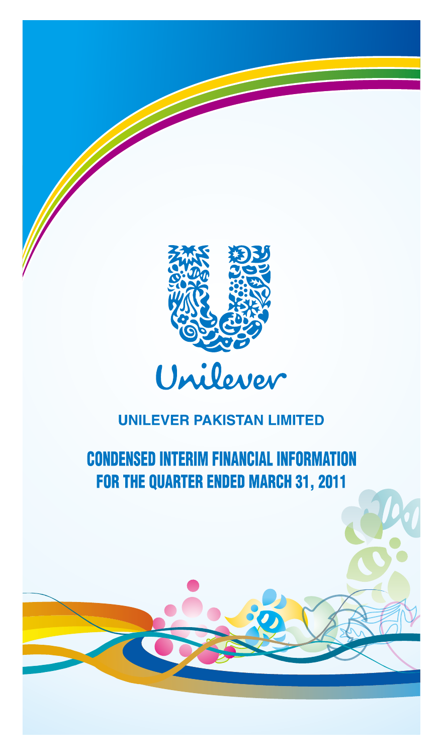

# **CONDENSED INTERIM FINANCIAL INFORMATION** FOR THE QUARTER ENDED MARCH 31, 2011

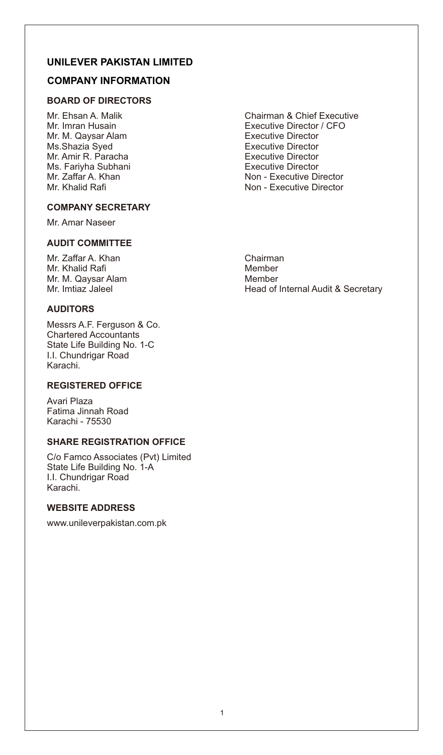## **COMPANY INFORMATION**

## **BOARD OF DIRECTORS**

Mr. M. Qaysar Alam Executive Director Ms.Shazia Syed<br>
Mr. Amir R. Paracha<br>
Executive Director Mr. Amir R. Paracha Executive Director Ms. Fariyha Subhani<br>Mr. Zaffar A. Khan

#### **COMPANY SECRETARY**

Mr. Amar Naseer

## **AUDIT COMMITTEE**

Mr. Zaffar A. Khan Chairman Chairman Chairman Chairman Chairman Chairman Chairman Chairman Chairman Chairman C Mr. Khalid Rafi Mr. M. Qaysar Alam Member<br>
Mr. Imtiaz Jaleel Mr. Imtiaz Meledor

## **AUDITORS**

Messrs A.F. Ferguson & Co. Chartered Accountants State Life Building No. 1-C I.I. Chundrigar Road Karachi.

## **REGISTERED OFFICE**

Avari Plaza Fatima Jinnah Road Karachi - 75530

#### **SHARE REGISTRATION OFFICE**

C/o Famco Associates (Pvt) Limited State Life Building No. 1-A I.I. Chundrigar Road Karachi.

## **WEBSITE ADDRESS**

www.unileverpakistan.com.pk

Mr. Ehsan A. Malik Chairman & Chief Executive Mr. Imran Husain Executive Director / CFO Mr. Zaffar A. Khan Non - Executive Director<br>Mr. Khalid Rafi Non - Executive Director Non - Executive Director

Head of Internal Audit & Secretary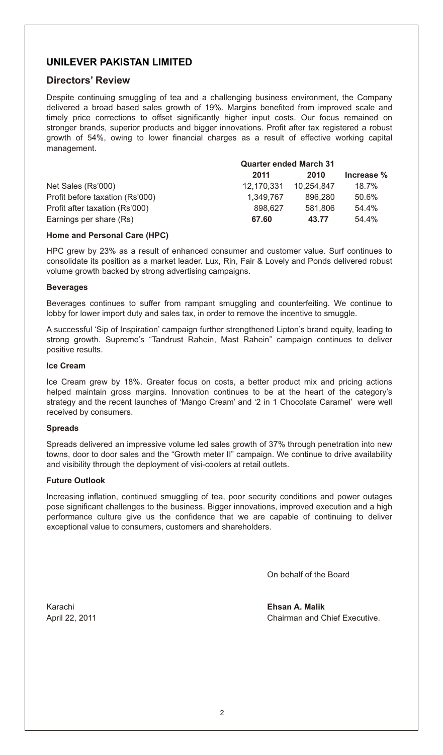## **Directors' Review**

Despite continuing smuggling of tea and a challenging business environment, the Company delivered a broad based sales growth of 19%. Margins benefited from improved scale and timely price corrections to offset significantly higher input costs. Our focus remained on stronger brands, superior products and bigger innovations. Profit after tax registered a robust growth of 54%, owing to lower financial charges as a result of effective working capital management.

|                                 | <b>Quarter ended March 31</b> |            |            |  |
|---------------------------------|-------------------------------|------------|------------|--|
|                                 | 2011                          | 2010       | Increase % |  |
| Net Sales (Rs'000)              | 12.170.331                    | 10.254.847 | 18.7%      |  |
| Profit before taxation (Rs'000) | 1.349.767                     | 896.280    | 50.6%      |  |
| Profit after taxation (Rs'000)  | 898.627                       | 581.806    | 54.4%      |  |
| Earnings per share (Rs)         | 67.60                         | 43.77      | 54.4%      |  |

#### **Home and Personal Care (HPC)**

HPC grew by 23% as a result of enhanced consumer and customer value. Surf continues to consolidate its position as a market leader. Lux, Rin, Fair & Lovely and Ponds delivered robust volume growth backed by strong advertising campaigns.

#### **Beverages**

Beverages continues to suffer from rampant smuggling and counterfeiting. We continue to lobby for lower import duty and sales tax, in order to remove the incentive to smuggle.

A successful 'Sip of Inspiration' campaign further strengthened Lipton's brand equity, leading to strong growth. Supreme's "Tandrust Rahein, Mast Rahein" campaign continues to deliver positive results.

#### **Ice Cream**

Ice Cream grew by 18%. Greater focus on costs, a better product mix and pricing actions helped maintain gross margins. Innovation continues to be at the heart of the category's strategy and the recent launches of 'Mango Cream' and '2 in 1 Chocolate Caramel' were well received by consumers.

#### **Spreads**

Spreads delivered an impressive volume led sales growth of 37% through penetration into new towns, door to door sales and the "Growth meter II" campaign. We continue to drive availability and visibility through the deployment of visi-coolers at retail outlets.

#### **Future Outlook**

Increasing inflation, continued smuggling of tea, poor security conditions and power outages pose significant challenges to the business. Bigger innovations, improved execution and a high performance culture give us the confidence that we are capable of continuing to deliver exceptional value to consumers, customers and shareholders.

On behalf of the Board

Karachi **Ehsan A. Malik** April 22, 2011 **Chairman and Chief Executive.**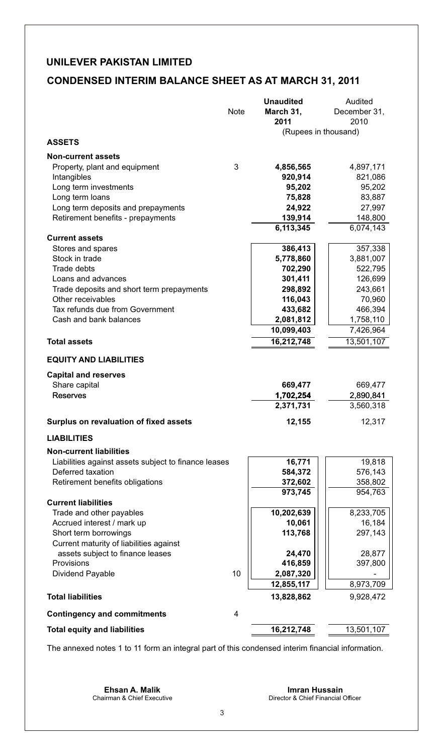## **CONDENSED INTERIM BALANCE SHEET AS AT MARCH 31, 2011**

|                                                      | Note           | <b>Unaudited</b><br>March 31,<br>2011 | Audited<br>December 31,<br>2010 |
|------------------------------------------------------|----------------|---------------------------------------|---------------------------------|
|                                                      |                | (Rupees in thousand)                  |                                 |
| <b>ASSETS</b>                                        |                |                                       |                                 |
| <b>Non-current assets</b>                            |                |                                       |                                 |
| Property, plant and equipment                        | 3              | 4,856,565                             | 4,897,171                       |
| Intangibles                                          |                | 920,914                               | 821,086                         |
| Long term investments<br>Long term loans             |                | 95,202<br>75,828                      | 95,202<br>83,887                |
| Long term deposits and prepayments                   |                | 24,922                                | 27,997                          |
| Retirement benefits - prepayments                    |                | 139,914                               | 148,800                         |
|                                                      |                | 6,113,345                             | 6,074,143                       |
| <b>Current assets</b>                                |                |                                       |                                 |
| Stores and spares                                    |                | 386,413                               | 357,338                         |
| Stock in trade                                       |                | 5,778,860                             | 3,881,007                       |
| Trade debts                                          |                | 702,290                               | 522,795                         |
| Loans and advances                                   |                | 301,411                               | 126,699                         |
| Trade deposits and short term prepayments            |                | 298,892                               | 243,661                         |
| Other receivables                                    |                | 116,043                               | 70,960                          |
| Tax refunds due from Government                      |                | 433,682                               | 466,394                         |
| Cash and bank balances                               |                | 2,081,812                             | 1,758,110                       |
|                                                      |                | 10,099,403                            | 7,426,964                       |
| <b>Total assets</b>                                  |                | 16,212,748                            | 13,501,107                      |
| <b>EQUITY AND LIABILITIES</b>                        |                |                                       |                                 |
| <b>Capital and reserves</b>                          |                |                                       |                                 |
| Share capital                                        |                | 669,477                               | 669,477                         |
| Reserves                                             |                | 1,702,254                             | 2,890,841                       |
|                                                      |                | 2,371,731                             | 3,560,318                       |
| Surplus on revaluation of fixed assets               |                | 12,155                                | 12,317                          |
| <b>LIABILITIES</b>                                   |                |                                       |                                 |
| <b>Non-current liabilities</b>                       |                |                                       |                                 |
| Liabilities against assets subject to finance leases |                | 16,771                                | 19,818                          |
| Deferred taxation                                    |                | 584,372                               | 576,143                         |
| Retirement benefits obligations                      |                | 372,602                               | 358,802                         |
|                                                      |                | 973,745                               | 954,763                         |
| <b>Current liabilities</b>                           |                |                                       |                                 |
| Trade and other payables                             |                | 10,202,639                            | 8,233,705                       |
| Accrued interest / mark up                           |                | 10,061                                | 16,184                          |
| Short term borrowings                                |                | 113,768                               | 297,143                         |
| Current maturity of liabilities against              |                |                                       |                                 |
| assets subject to finance leases<br>Provisions       |                | 24,470                                | 28,877<br>397,800               |
|                                                      |                | 416,859                               |                                 |
| Dividend Payable                                     | 10             | 2,087,320<br>12,855,117               | 8,973,709                       |
| <b>Total liabilities</b>                             |                | 13,828,862                            | 9,928,472                       |
|                                                      |                |                                       |                                 |
| <b>Contingency and commitments</b>                   | $\overline{4}$ |                                       |                                 |
| <b>Total equity and liabilities</b>                  |                | 16,212,748                            | 13,501,107                      |
|                                                      |                |                                       |                                 |

The annexed notes 1 to 11 form an integral part of this condensed interim financial information.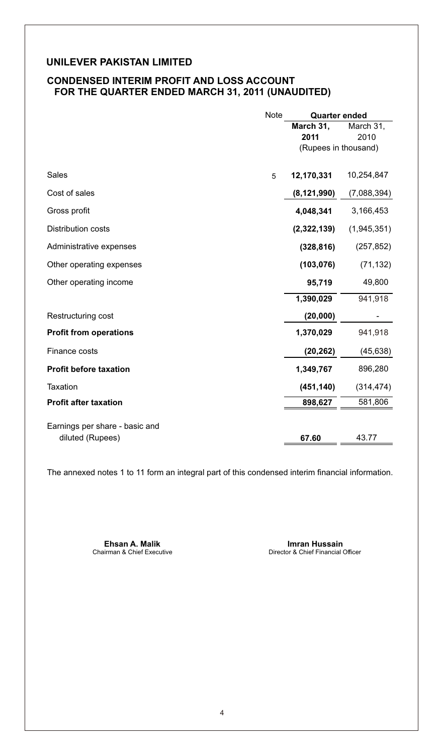## **CONDENSED INTERIM PROFIT AND LOSS ACCOUNT FOR THE QUARTER ENDED MARCH 31, 2011 (UNAUDITED)**

|                                | Note | <b>Quarter ended</b> |             |
|--------------------------------|------|----------------------|-------------|
|                                |      | March 31,            | March 31,   |
|                                |      | 2011                 | 2010        |
|                                |      | (Rupees in thousand) |             |
|                                |      |                      |             |
| Sales                          | 5    | 12,170,331           | 10,254,847  |
| Cost of sales                  |      | (8, 121, 990)        | (7,088,394) |
| Gross profit                   |      | 4,048,341            | 3,166,453   |
| <b>Distribution costs</b>      |      | (2,322,139)          | (1,945,351) |
| Administrative expenses        |      | (328, 816)           | (257, 852)  |
| Other operating expenses       |      | (103, 076)           | (71, 132)   |
| Other operating income         |      | 95,719               | 49,800      |
|                                |      | 1,390,029            | 941,918     |
| Restructuring cost             |      | (20,000)             |             |
| <b>Profit from operations</b>  |      | 1,370,029            | 941,918     |
| Finance costs                  |      | (20, 262)            | (45, 638)   |
| <b>Profit before taxation</b>  |      | 1,349,767            | 896,280     |
| Taxation                       |      | (451, 140)           | (314, 474)  |
| <b>Profit after taxation</b>   |      | 898,627              | 581,806     |
| Earnings per share - basic and |      |                      |             |
| diluted (Rupees)               |      | 67.60                | 43.77       |

The annexed notes 1 to 11 form an integral part of this condensed interim financial information.

**Ehsan A. Malik Imran Hussain**<br>
Chairman & Chief Executive **International Studies of A. A. Malik International Chief Financial** 

Director & Chief Financial Officer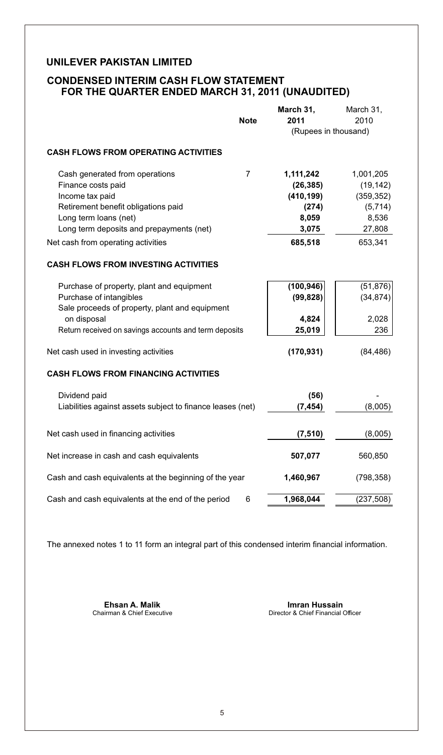## **CONDENSED INTERIM CASH FLOW STATEMENT FOR THE QUARTER ENDED MARCH 31, 2011 (UNAUDITED)**

|                                                            |                | March 31,            | March 31,  |
|------------------------------------------------------------|----------------|----------------------|------------|
|                                                            | <b>Note</b>    | 2011                 | 2010       |
|                                                            |                | (Rupees in thousand) |            |
| <b>CASH FLOWS FROM OPERATING ACTIVITIES</b>                |                |                      |            |
|                                                            |                |                      |            |
| Cash generated from operations                             | $\overline{7}$ | 1,111,242            | 1,001,205  |
| Finance costs paid                                         |                | (26, 385)            | (19, 142)  |
| Income tax paid                                            |                | (410, 199)           | (359, 352) |
| Retirement benefit obligations paid                        |                | (274)                | (5,714)    |
| Long term loans (net)                                      |                | 8,059                | 8,536      |
| Long term deposits and prepayments (net)                   |                | 3,075                | 27,808     |
| Net cash from operating activities                         |                | 685,518              | 653,341    |
| <b>CASH FLOWS FROM INVESTING ACTIVITIES</b>                |                |                      |            |
| Purchase of property, plant and equipment                  |                | (100, 946)           | (51, 876)  |
| Purchase of intangibles                                    |                | (99, 828)            | (34, 874)  |
| Sale proceeds of property, plant and equipment             |                |                      |            |
| on disposal                                                |                | 4,824                | 2,028      |
| Return received on savings accounts and term deposits      |                | 25,019               | 236        |
|                                                            |                |                      |            |
| Net cash used in investing activities                      |                | (170, 931)           | (84, 486)  |
| <b>CASH FLOWS FROM FINANCING ACTIVITIES</b>                |                |                      |            |
| Dividend paid                                              |                | (56)                 |            |
| Liabilities against assets subject to finance leases (net) |                | (7, 454)             | (8,005)    |
|                                                            |                |                      |            |
| Net cash used in financing activities                      |                | (7, 510)             | (8,005)    |
| Net increase in cash and cash equivalents                  |                | 507,077              | 560,850    |
|                                                            |                |                      |            |
| Cash and cash equivalents at the beginning of the year     |                | 1,460,967            | (798, 358) |
| Cash and cash equivalents at the end of the period         | 6              | 1,968,044            | (237, 508) |

The annexed notes 1 to 11 form an integral part of this condensed interim financial information.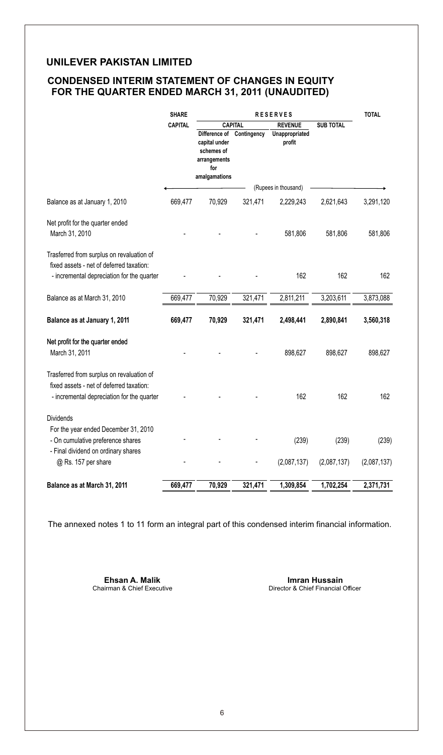## **CONDENSED INTERIM STATEMENT OF CHANGES IN EQUITY FOR THE QUARTER ENDED MARCH 31, 2011 (UNAUDITED)**

|                                                                                                                                     | <b>SHARE</b>   | <b>RESERVES</b>                                                                      |                |                          |                  | <b>TOTAL</b> |
|-------------------------------------------------------------------------------------------------------------------------------------|----------------|--------------------------------------------------------------------------------------|----------------|--------------------------|------------------|--------------|
|                                                                                                                                     | <b>CAPITAL</b> |                                                                                      | <b>CAPITAL</b> | <b>REVENUE</b>           | <b>SUB TOTAL</b> |              |
|                                                                                                                                     |                | Difference of<br>capital under<br>schemes of<br>arrangements<br>for<br>amalgamations | Contingency    | Unappropriated<br>profit |                  |              |
|                                                                                                                                     |                |                                                                                      |                | (Rupees in thousand)     |                  |              |
| Balance as at January 1, 2010                                                                                                       | 669,477        | 70,929                                                                               | 321,471        | 2,229,243                | 2,621,643        | 3,291,120    |
| Net profit for the quarter ended<br>March 31, 2010                                                                                  |                |                                                                                      |                | 581,806                  | 581,806          | 581,806      |
| Trasferred from surplus on revaluation of<br>fixed assets - net of deferred taxation:<br>- incremental depreciation for the quarter |                |                                                                                      |                | 162                      | 162              | 162          |
| Balance as at March 31, 2010                                                                                                        | 669,477        | 70,929                                                                               | 321,471        | 2,811,211                | 3,203,611        | 3,873,088    |
| Balance as at January 1, 2011                                                                                                       | 669,477        | 70,929                                                                               | 321,471        | 2,498,441                | 2,890,841        | 3,560,318    |
| Net profit for the quarter ended<br>March 31, 2011                                                                                  |                |                                                                                      |                | 898,627                  | 898,627          | 898,627      |
| Trasferred from surplus on revaluation of<br>fixed assets - net of deferred taxation:<br>- incremental depreciation for the quarter |                |                                                                                      |                | 162                      | 162              | 162          |
| <b>Dividends</b>                                                                                                                    |                |                                                                                      |                |                          |                  |              |
| For the year ended December 31, 2010<br>- On cumulative preference shares<br>- Final dividend on ordinary shares                    |                |                                                                                      |                | (239)                    | (239)            | (239)        |
| @ Rs. 157 per share                                                                                                                 |                |                                                                                      |                | (2,087,137)              | (2,087,137)      | (2,087,137)  |
| Balance as at March 31, 2011                                                                                                        | 669,477        | 70,929                                                                               | 321,471        | 1,309,854                | 1,702,254        | 2,371,731    |

The annexed notes 1 to 11 form an integral part of this condensed interim financial information.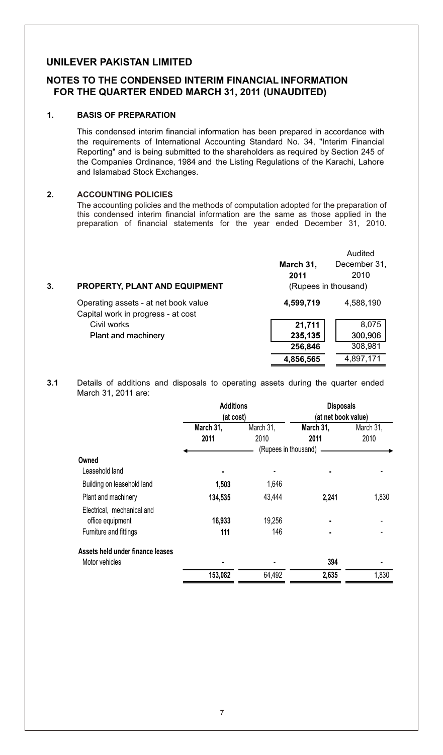### **NOTES TO THE CONDENSED INTERIM FINANCIAL INFORMATION FOR THE QUARTER ENDED MARCH 31, 2011 (UNAUDITED)**

#### **1. BASIS OF PREPARATION**

This condensed interim financial information has been prepared in accordance with the requirements of International Accounting Standard No. 34, "Interim Financial Reporting" and is being submitted to the shareholders as required by Section 245 of the Companies Ordinance, 1984 and the Listing Regulations of the Karachi, Lahore and Islamabad Stock Exchanges.

#### **2. ACCOUNTING POLICIES**

The accounting policies and the methods of computation adopted for the preparation of this condensed interim financial information are the same as those applied in the preparation of financial statements for the year ended December 31, 2010.

|    |                                      |                      | Audited      |
|----|--------------------------------------|----------------------|--------------|
|    |                                      | March 31,            | December 31, |
|    |                                      | 2011                 | 2010         |
| 3. | <b>PROPERTY, PLANT AND EQUIPMENT</b> | (Rupees in thousand) |              |
|    | Operating assets - at net book value | 4,599,719            | 4,588,190    |
|    | Capital work in progress - at cost   |                      |              |
|    | Civil works                          | 21,711               | 8,075        |
|    | Plant and machinery                  | 235,135              | 300,906      |
|    |                                      | 256,846              | 308,981      |
|    |                                      | 4,856,565            | 4,897,171    |

**3.1** Details of additions and disposals to operating assets during the quarter ended March 31, 2011 are:

|                                  | <b>Additions</b><br>(at cost) |                      | <b>Disposals</b><br>(at net book value) |           |  |
|----------------------------------|-------------------------------|----------------------|-----------------------------------------|-----------|--|
|                                  | March 31,                     | March 31,            | March 31,                               | March 31. |  |
|                                  | 2011                          | 2010                 | 2011                                    | 2010      |  |
|                                  |                               | (Rupees in thousand) |                                         |           |  |
| Owned                            |                               |                      |                                         |           |  |
| Leasehold land                   |                               |                      |                                         |           |  |
| Building on leasehold land       | 1,503                         | 1,646                |                                         |           |  |
| Plant and machinery              | 134,535                       | 43.444               | 2.241                                   | 1,830     |  |
| Electrical, mechanical and       |                               |                      |                                         |           |  |
| office equipment                 | 16,933                        | 19,256               |                                         |           |  |
| Furniture and fittings           | 111                           | 146                  |                                         |           |  |
| Assets held under finance leases |                               |                      |                                         |           |  |
| Motor vehicles                   |                               |                      | 394                                     |           |  |
|                                  | 153,082                       | 64,492               | 2,635                                   | 1,830     |  |
|                                  |                               |                      |                                         |           |  |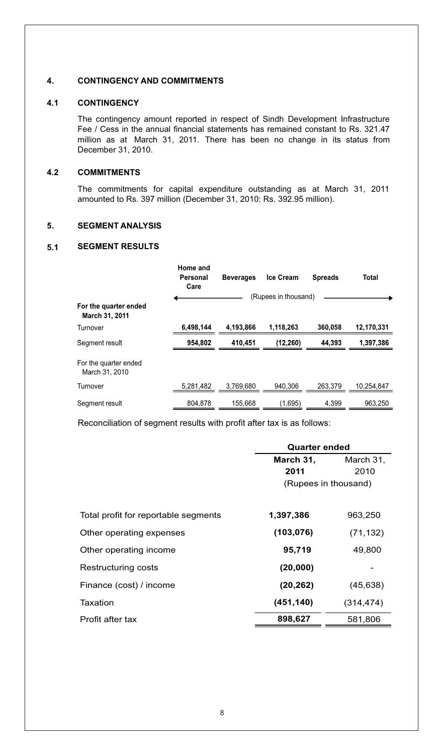#### **4. CONTINGENCY AND COMMITMENTS**

#### **4.1 CONTINGENCY**

The contingency amount reported in respect of Sindh Development Infrastructure Fee / Cess in the annual financial statements has remained constant to Rs. 321.47 million as at March 31, 2011. There has been no change in its status from December 31, 2010.

#### **4.2 COMMITMENTS**

The commitments for capital expenditure outstanding as at March 31, 2011 amounted to Rs. 397 million (December 31, 2010: Rs. 392.95 million).

### **5. SEGMENT ANALYSIS**

#### **5.1 SEGMENT RESULTS**

|                                         | Home and<br>Personal<br>Care | <b>Beverages</b> | <b>Ice Cream</b>     | <b>Spreads</b> | Total      |
|-----------------------------------------|------------------------------|------------------|----------------------|----------------|------------|
|                                         |                              |                  | (Rupees in thousand) |                |            |
| For the quarter ended<br>March 31, 2011 |                              |                  |                      |                |            |
| Turnover                                | 6.498.144                    | 4.193.866        | 1,118,263            | 360.058        | 12,170,331 |
| Segment result                          | 954.802                      | 410.451          | (12, 260)            | 44.393         | 1,397,386  |
| For the quarter ended<br>March 31, 2010 |                              |                  |                      |                |            |
| Turnover                                | 5,281,482                    | 3.769.680        | 940.306              | 263.379        | 10.254.847 |
| Segment result                          | 804.878                      | 155,668          | (1,695)              | 4,399          | 963,250    |

Reconciliation of segment results with profit after tax is as follows:

|                                      | Quarter ended          |            |  |
|--------------------------------------|------------------------|------------|--|
|                                      | March 31,<br>March 31, |            |  |
|                                      | 2011                   | 2010       |  |
|                                      | (Rupees in thousand)   |            |  |
|                                      |                        |            |  |
| Total profit for reportable segments | 1,397,386              | 963,250    |  |
| Other operating expenses             | (103, 076)             | (71, 132)  |  |
| Other operating income               | 95,719                 | 49,800     |  |
| Restructuring costs                  | (20,000)               |            |  |
| Finance (cost) / income              | (20, 262)              | (45, 638)  |  |
| Taxation                             | (451, 140)             | (314, 474) |  |
| Profit after tax                     | 898,627                | 581,806    |  |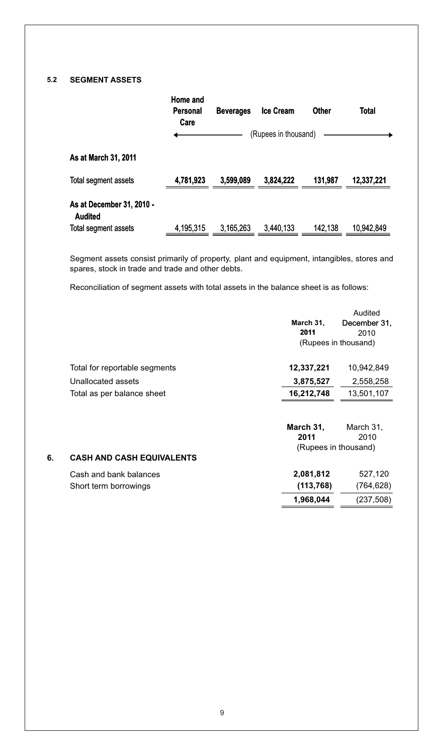## **5.2 SEGMENT ASSETS**

**6.**

|                                             | Home and<br>Personal<br>Care | <b>Beverages</b> | <b>Ice Cream</b>     | <b>Other</b> | <b>Total</b> |
|---------------------------------------------|------------------------------|------------------|----------------------|--------------|--------------|
|                                             |                              |                  | (Rupees in thousand) |              |              |
| As at March 31, 2011                        |                              |                  |                      |              |              |
| Total segment assets                        | 4,781,923                    | 3,599,089        | 3,824,222            | 131,987      | 12,337,221   |
| As at December 31, 2010 -<br><b>Audited</b> |                              |                  |                      |              |              |
| Total segment assets                        | 4,195,315                    | 3,165,263        | 3,440,133            | 142.138      | 10,942,849   |

Segment assets consist primarily of property, plant and equipment, intangibles, stores and spares, stock in trade and trade and other debts.

Reconciliation of segment assets with total assets in the balance sheet is as follows:

|                                  |                      | Audited              |
|----------------------------------|----------------------|----------------------|
|                                  | March 31,            | December 31.         |
|                                  | 2011                 | 2010                 |
|                                  |                      | (Rupees in thousand) |
| Total for reportable segments    | 12,337,221           | 10,942,849           |
| Unallocated assets               | 3,875,527            | 2,558,258            |
| Total as per balance sheet       | 16,212,748           | 13,501,107           |
|                                  |                      |                      |
|                                  | March 31,            | March 31,            |
|                                  | 2011                 | 2010                 |
|                                  | (Rupees in thousand) |                      |
| <b>CASH AND CASH EQUIVALENTS</b> |                      |                      |
| Cash and bank balances           | 2,081,812            | 527,120              |
| Short term borrowings            | (113, 768)           | (764, 628)           |
|                                  | 1,968,044            | (237,508)            |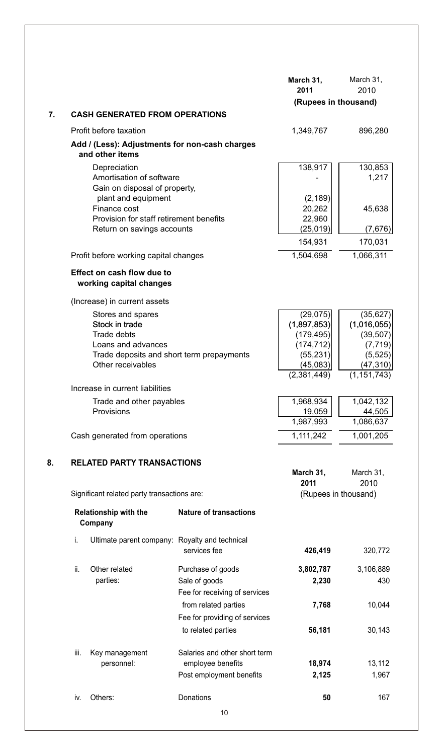|    |                          |                                                                   |                                                     | March 31,                | March 31,              |
|----|--------------------------|-------------------------------------------------------------------|-----------------------------------------------------|--------------------------|------------------------|
|    |                          |                                                                   |                                                     | 2011                     | 2010                   |
|    |                          |                                                                   |                                                     | (Rupees in thousand)     |                        |
| 7. |                          | <b>CASH GENERATED FROM OPERATIONS</b>                             |                                                     |                          |                        |
|    |                          | Profit before taxation                                            |                                                     | 1,349,767                | 896,280                |
|    |                          | Add / (Less): Adjustments for non-cash charges<br>and other items |                                                     |                          |                        |
|    |                          | Depreciation<br>Amortisation of software                          |                                                     | 138,917                  | 130,853<br>1.217       |
|    |                          | Gain on disposal of property,                                     |                                                     |                          |                        |
|    |                          | plant and equipment                                               |                                                     | (2, 189)                 |                        |
|    |                          | Finance cost<br>Provision for staff retirement benefits           |                                                     | 20,262                   | 45,638                 |
|    |                          | Return on savings accounts                                        |                                                     | 22,960<br>(25,019)       | (7,676)                |
|    |                          |                                                                   |                                                     | 154,931                  | 170,031                |
|    |                          | Profit before working capital changes                             |                                                     | 1,504,698                | 1,066,311              |
|    |                          | Effect on cash flow due to<br>working capital changes             |                                                     |                          |                        |
|    |                          | (Increase) in current assets                                      |                                                     |                          |                        |
|    |                          | Stores and spares                                                 |                                                     | (29, 075)                | (35, 627)              |
|    |                          | Stock in trade                                                    |                                                     | (1,897,853)              | (1,016,055)            |
|    |                          | Trade debts<br>Loans and advances                                 |                                                     | (179, 495)<br>(174, 712) | (39, 507)<br>(7, 719)  |
|    |                          | Trade deposits and short term prepayments                         |                                                     | (55, 231)                | (5, 525)               |
|    |                          | Other receivables                                                 |                                                     | (45,083)                 | (47, 310)              |
|    |                          | Increase in current liabilities                                   | (2,381,449)                                         | (1, 151, 743)            |                        |
|    | Trade and other payables |                                                                   |                                                     | 1,968,934                | 1,042,132              |
|    |                          | Provisions                                                        |                                                     | 19,059                   | 44,505                 |
|    |                          | Cash generated from operations                                    |                                                     | 1,987,993<br>1,111,242   | 1,086,637<br>1,001,205 |
|    |                          |                                                                   |                                                     |                          |                        |
| 8. |                          | <b>RELATED PARTY TRANSACTIONS</b>                                 |                                                     |                          |                        |
|    |                          |                                                                   |                                                     | March 31,<br>2011        | March 31,<br>2010      |
|    |                          | Significant related party transactions are:                       |                                                     | (Rupees in thousand)     |                        |
|    |                          | Relationship with the<br>Company                                  | <b>Nature of transactions</b>                       |                          |                        |
|    | i.                       | Ultimate parent company: Royalty and technical                    |                                                     |                          |                        |
|    |                          |                                                                   | services fee                                        | 426,419                  | 320,772                |
|    | ii.                      | Other related                                                     | Purchase of goods                                   | 3,802,787                | 3,106,889              |
|    |                          | parties:                                                          | Sale of goods                                       | 2,230                    | 430                    |
|    |                          |                                                                   | Fee for receiving of services                       |                          |                        |
|    |                          |                                                                   | from related parties                                | 7,768                    | 10,044                 |
|    |                          |                                                                   | Fee for providing of services<br>to related parties | 56,181                   | 30,143                 |
|    |                          |                                                                   |                                                     |                          |                        |
|    | iii.                     | Key management                                                    | Salaries and other short term                       |                          |                        |
|    |                          | personnel:                                                        | employee benefits                                   | 18,974                   | 13,112                 |
|    |                          |                                                                   | Post employment benefits                            | 2,125                    | 1,967                  |
|    | iv.                      | Others:                                                           | Donations                                           | 50                       | 167                    |
|    |                          |                                                                   | 10                                                  |                          |                        |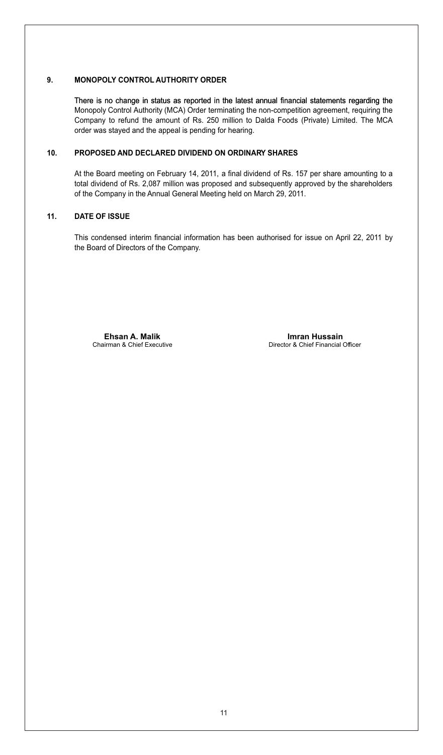#### **9. MONOPOLY CONTROL AUTHORITY ORDER**

There is no change in status as reported in the latest annual financial statements regarding the Monopoly Control Authority (MCA) Order terminating the non-competition agreement, requiring the Company to refund the amount of Rs. 250 million to Dalda Foods (Private) Limited. The MCA order was stayed and the appeal is pending for hearing.

#### **10. PROPOSED AND DECLARED DIVIDEND ON ORDINARY SHARES**

At the Board meeting on February 14, 2011, a final dividend of Rs. 157 per share amounting to a total dividend of Rs. 2,087 million was proposed and subsequently approved by the shareholders of the Company in the Annual General Meeting held on March 29, 2011.

#### **11. DATE OF ISSUE**

This condensed interim financial information has been authorised for issue on April 22, 2011 by the Board of Directors of the Company.

**Ehsan A. Malik Imran Hussain**

Chairman & Chief Executive Chairman & Chief Executive Director & Chief Financial Officer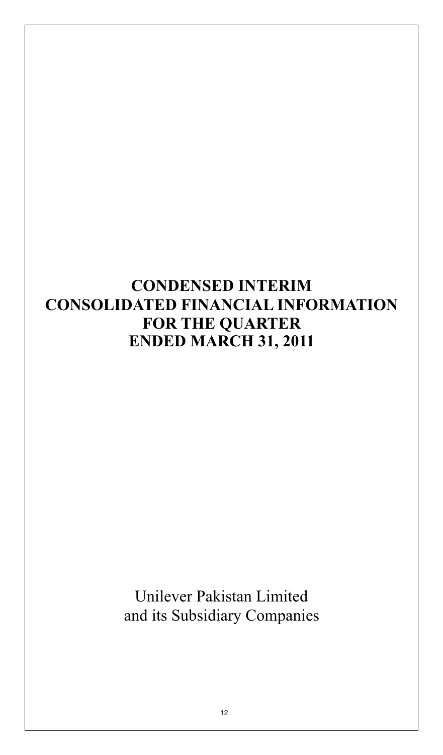## **CONDENSED INTERIM CONSOLIDATED FINANCIAL INFORMATION FOR THE QUARTER ENDED MARCH 31, 2011**

Unilever Pakistan Limited and its Subsidiary Companies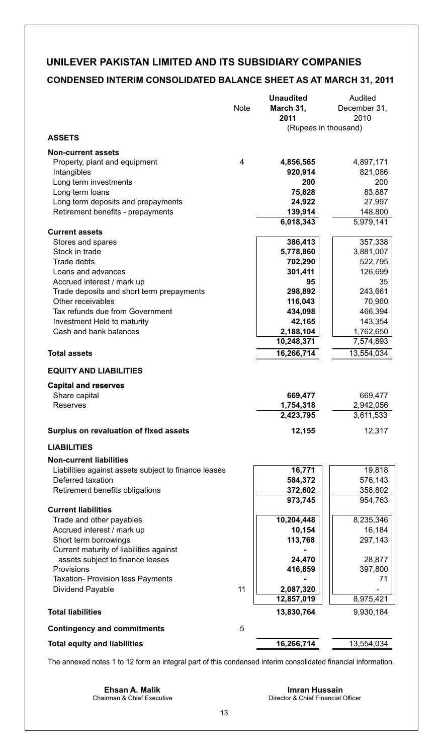## **CONDENSED INTERIM CONSOLIDATED BALANCE SHEET AS AT MARCH 31, 2011**

|                                                                           |             | <b>Unaudited</b>     | Audited              |
|---------------------------------------------------------------------------|-------------|----------------------|----------------------|
|                                                                           | <b>Note</b> | March 31,<br>2011    | December 31,<br>2010 |
| <b>ASSETS</b>                                                             |             | (Rupees in thousand) |                      |
| <b>Non-current assets</b>                                                 |             |                      |                      |
| Property, plant and equipment                                             | 4           | 4,856,565            | 4,897,171            |
| Intangibles                                                               |             | 920,914              | 821,086              |
| Long term investments                                                     |             | 200                  | 200                  |
| Long term loans                                                           |             | 75,828               | 83,887               |
| Long term deposits and prepayments                                        |             | 24,922               | 27,997               |
| Retirement benefits - prepayments                                         |             | 139,914              | 148,800              |
| <b>Current assets</b>                                                     |             | 6,018,343            | 5,979,141            |
| Stores and spares                                                         |             | 386,413              | 357,338              |
| Stock in trade                                                            |             | 5,778,860            | 3,881,007            |
| Trade debts                                                               |             | 702,290              | 522,795              |
| Loans and advances                                                        |             | 301,411              | 126,699              |
| Accrued interest / mark up                                                |             | 95                   | 35                   |
| Trade deposits and short term prepayments                                 |             | 298,892              | 243,661              |
| Other receivables                                                         |             | 116,043              | 70,960               |
| Tax refunds due from Government                                           |             | 434,098              | 466,394              |
| Investment Held to maturity                                               |             | 42,165               | 143,354              |
| Cash and bank balances                                                    |             | 2,188,104            | 1,762,650            |
|                                                                           |             | 10,248,371           | 7,574,893            |
| <b>Total assets</b>                                                       |             | 16,266,714           | 13,554,034           |
| <b>EQUITY AND LIABILITIES</b>                                             |             |                      |                      |
| <b>Capital and reserves</b>                                               |             |                      |                      |
| Share capital                                                             |             | 669,477              | 669,477              |
| Reserves                                                                  |             | 1,754,318            | 2,942,056            |
|                                                                           |             | 2,423,795            | 3,611,533            |
| Surplus on revaluation of fixed assets                                    |             | 12,155               | 12,317               |
| <b>LIABILITIES</b>                                                        |             |                      |                      |
| <b>Non-current liabilities</b>                                            |             |                      |                      |
| Liabilities against assets subject to finance leases<br>Deferred taxation |             | 16,771<br>584,372    | 19,818<br>576,143    |
| Retirement benefits obligations                                           |             | 372,602              | 358,802              |
|                                                                           |             | 973,745              | 954,763              |
| <b>Current liabilities</b>                                                |             |                      |                      |
| Trade and other payables                                                  |             | 10,204,448           | 8,235,346            |
| Accrued interest / mark up<br>Short term borrowings                       |             | 10,154<br>113,768    | 16,184<br>297,143    |
| Current maturity of liabilities against                                   |             |                      |                      |
| assets subject to finance leases                                          |             | 24,470               | 28,877               |
| Provisions                                                                |             | 416,859              | 397,800              |
| Taxation- Provision less Payments                                         |             |                      | 71                   |
| Dividend Payable                                                          | 11          | 2,087,320            |                      |
|                                                                           |             | 12,857,019           | 8,975,421            |
| <b>Total liabilities</b>                                                  |             | 13,830,764           | 9,930,184            |
| <b>Contingency and commitments</b>                                        | 5           |                      |                      |
| <b>Total equity and liabilities</b>                                       |             | 16,266,714           | 13,554,034           |

The annexed notes 1 to 12 form an integral part of this condensed interim consolidated financial information.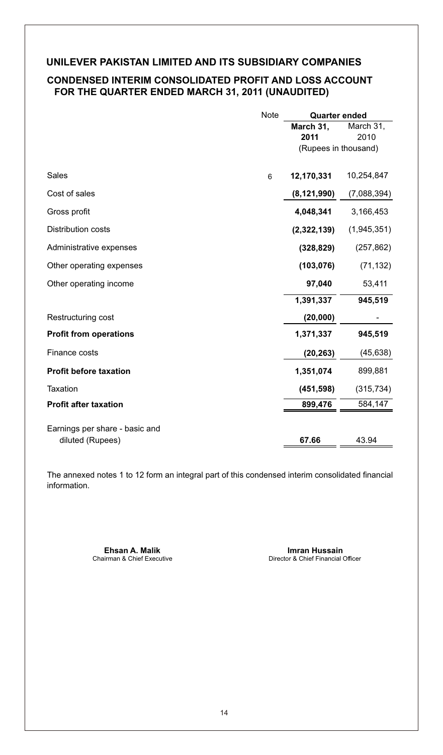## **CONDENSED INTERIM CONSOLIDATED PROFIT AND LOSS ACCOUNT FOR THE QUARTER ENDED MARCH 31, 2011 (UNAUDITED)**

|                                | <b>Note</b> | <b>Quarter ended</b> |             |
|--------------------------------|-------------|----------------------|-------------|
|                                |             | March 31,            | March 31,   |
|                                |             | 2011                 | 2010        |
|                                |             | (Rupees in thousand) |             |
|                                |             |                      |             |
| <b>Sales</b>                   | 6           | 12,170,331           | 10,254,847  |
| Cost of sales                  |             | (8, 121, 990)        | (7,088,394) |
| Gross profit                   |             | 4,048,341            | 3,166,453   |
| Distribution costs             |             | (2,322,139)          | (1,945,351) |
| Administrative expenses        |             | (328, 829)           | (257, 862)  |
| Other operating expenses       |             | (103, 076)           | (71, 132)   |
| Other operating income         |             | 97,040               | 53,411      |
|                                |             | 1,391,337            | 945,519     |
| Restructuring cost             |             | (20, 000)            |             |
| <b>Profit from operations</b>  |             | 1,371,337            | 945,519     |
| Finance costs                  |             | (20, 263)            | (45, 638)   |
| <b>Profit before taxation</b>  |             | 1,351,074            | 899,881     |
| Taxation                       |             | (451, 598)           | (315, 734)  |
| <b>Profit after taxation</b>   |             | 899,476              | 584,147     |
|                                |             |                      |             |
| Earnings per share - basic and |             |                      |             |
| diluted (Rupees)               |             | 67.66                | 43.94       |

The annexed notes 1 to 12 form an integral part of this condensed interim consolidated financial information.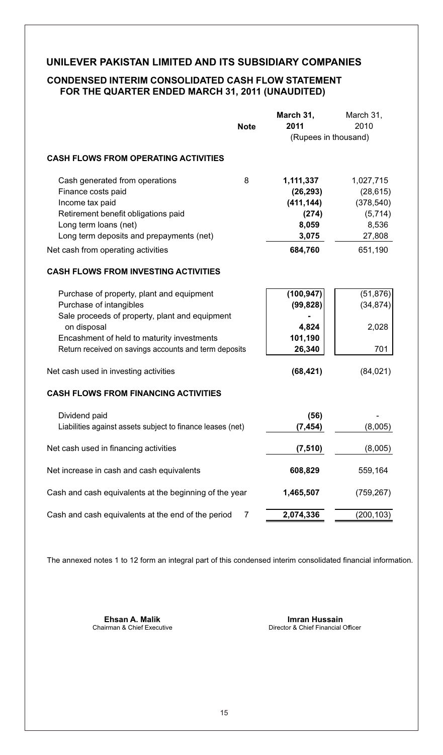## **CONDENSED INTERIM CONSOLIDATED CASH FLOW STATEMENT FOR THE QUARTER ENDED MARCH 31, 2011 (UNAUDITED)**

|                                                            |             | March 31,            | March 31,  |
|------------------------------------------------------------|-------------|----------------------|------------|
|                                                            | <b>Note</b> | 2011                 | 2010       |
|                                                            |             | (Rupees in thousand) |            |
| <b>CASH FLOWS FROM OPERATING ACTIVITIES</b>                |             |                      |            |
| Cash generated from operations                             | 8           | 1,111,337            | 1,027,715  |
| Finance costs paid                                         |             | (26, 293)            | (28, 615)  |
| Income tax paid                                            |             | (411, 144)           | (378, 540) |
| Retirement benefit obligations paid                        |             | (274)                | (5,714)    |
| Long term loans (net)                                      |             | 8,059                | 8,536      |
| Long term deposits and prepayments (net)                   |             | 3,075                | 27,808     |
| Net cash from operating activities                         |             | 684,760              | 651,190    |
| <b>CASH FLOWS FROM INVESTING ACTIVITIES</b>                |             |                      |            |
| Purchase of property, plant and equipment                  |             | (100, 947)           | (51, 876)  |
| Purchase of intangibles                                    |             | (99, 828)            | (34, 874)  |
| Sale proceeds of property, plant and equipment             |             |                      |            |
| on disposal                                                |             | 4,824                | 2,028      |
| Encashment of held to maturity investments                 |             | 101,190              |            |
| Return received on savings accounts and term deposits      |             | 26,340               | 701        |
| Net cash used in investing activities                      |             | (68, 421)            | (84, 021)  |
| <b>CASH FLOWS FROM FINANCING ACTIVITIES</b>                |             |                      |            |
| Dividend paid                                              |             | (56)                 |            |
| Liabilities against assets subject to finance leases (net) |             | (7, 454)             | (8,005)    |
| Net cash used in financing activities                      |             | (7, 510)             | (8,005)    |
| Net increase in cash and cash equivalents                  |             | 608,829              | 559,164    |
| Cash and cash equivalents at the beginning of the year     |             | 1,465,507            | (759, 267) |
| Cash and cash equivalents at the end of the period         | 7           | 2,074,336            | (200, 103) |

The annexed notes 1 to 12 form an integral part of this condensed interim consolidated financial information.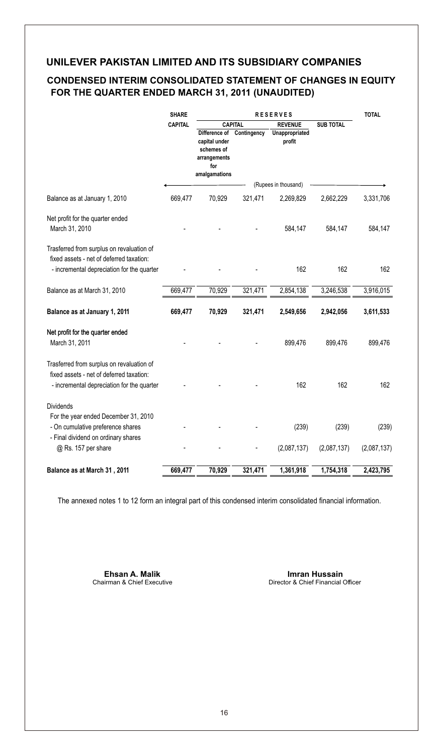## **CONDENSED INTERIM CONSOLIDATED STATEMENT OF CHANGES IN EQUITY FOR THE QUARTER ENDED MARCH 31, 2011 (UNAUDITED)**

|                                                                                                                                     | <b>SHARE</b>   | RESERVES                                                                             |                |                                    | <b>TOTAL</b> |             |
|-------------------------------------------------------------------------------------------------------------------------------------|----------------|--------------------------------------------------------------------------------------|----------------|------------------------------------|--------------|-------------|
|                                                                                                                                     | <b>CAPITAL</b> |                                                                                      | <b>CAPITAL</b> | <b>REVENUE</b><br><b>SUB TOTAL</b> |              |             |
|                                                                                                                                     |                | Difference of<br>capital under<br>schemes of<br>arrangements<br>for<br>amalgamations | Contingency    | Unappropriated<br>profit           |              |             |
|                                                                                                                                     |                |                                                                                      |                | (Rupees in thousand)               |              |             |
| Balance as at January 1, 2010                                                                                                       | 669,477        | 70,929                                                                               | 321,471        | 2,269,829                          | 2,662,229    | 3,331,706   |
| Net profit for the quarter ended<br>March 31, 2010                                                                                  |                |                                                                                      |                | 584,147                            | 584,147      | 584,147     |
| Trasferred from surplus on revaluation of<br>fixed assets - net of deferred taxation:<br>- incremental depreciation for the quarter |                |                                                                                      |                | 162                                | 162          | 162         |
| Balance as at March 31, 2010                                                                                                        | 669,477        | 70,929                                                                               | 321,471        | 2,854,138                          | 3,246,538    | 3,916,015   |
| Balance as at January 1, 2011                                                                                                       | 669,477        | 70,929                                                                               | 321,471        | 2,549,656                          | 2,942,056    | 3,611,533   |
| Net profit for the quarter ended<br>March 31, 2011                                                                                  |                |                                                                                      |                | 899,476                            | 899,476      | 899,476     |
| Trasferred from surplus on revaluation of<br>fixed assets - net of deferred taxation:<br>- incremental depreciation for the quarter |                |                                                                                      |                | 162                                | 162          | 162         |
| <b>Dividends</b>                                                                                                                    |                |                                                                                      |                |                                    |              |             |
| For the year ended December 31, 2010<br>- On cumulative preference shares<br>- Final dividend on ordinary shares                    |                |                                                                                      |                | (239)                              | (239)        | (239)       |
| @ Rs. 157 per share                                                                                                                 |                |                                                                                      |                | (2,087,137)                        | (2,087,137)  | (2,087,137) |
| Balance as at March 31, 2011                                                                                                        | 669,477        | 70,929                                                                               | 321,471        | 1,361,918                          | 1,754,318    | 2,423,795   |

The annexed notes 1 to 12 form an integral part of this condensed interim consolidated financial information.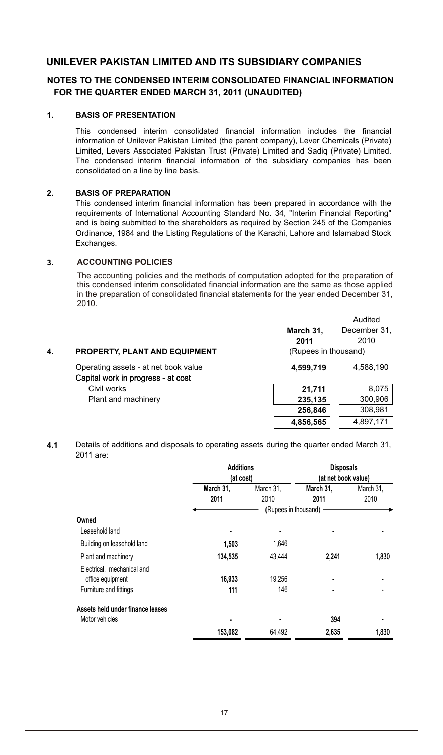## **NOTES TO THE CONDENSED INTERIM CONSOLIDATED FINANCIAL INFORMATION FOR THE QUARTER ENDED MARCH 31, 2011 (UNAUDITED)**

#### **1. BASIS OF PRESENTATION**

This condensed interim consolidated financial information includes the financial information of Unilever Pakistan Limited (the parent company), Lever Chemicals (Private) Limited, Levers Associated Pakistan Trust (Private) Limited and Sadiq (Private) Limited. The condensed interim financial information of the subsidiary companies has been consolidated on a line by line basis.

#### **2. BASIS OF PREPARATION**

This condensed interim financial information has been prepared in accordance with the requirements of International Accounting Standard No. 34, "Interim Financial Reporting" and is being submitted to the shareholders as required by Section 245 of the Companies Ordinance, 1984 and the Listing Regulations of the Karachi, Lahore and Islamabad Stock Exchanges.

#### **3. ACCOUNTING POLICIES**

The accounting policies and the methods of computation adopted for the preparation of this condensed interim consolidated financial information are the same as those applied in the preparation of consolidated financial statements for the year ended December 31, 2010.

|    |                                      |                      | Audited      |
|----|--------------------------------------|----------------------|--------------|
|    |                                      | March 31,            | December 31. |
|    |                                      | 2011                 | 2010         |
| 4. | <b>PROPERTY, PLANT AND EQUIPMENT</b> | (Rupees in thousand) |              |
|    | Operating assets - at net book value | 4,599,719            | 4,588,190    |
|    | Capital work in progress - at cost   |                      |              |
|    | Civil works                          | 21,711               | 8.075        |
|    | Plant and machinery                  | 235,135              | 300,906      |
|    |                                      | 256,846              | 308,981      |
|    |                                      | 4,856,565            | 4,897,171    |

#### **4.1** Details of additions and disposals to operating assets during the quarter ended March 31, 2011 are:

|                                  | <b>Additions</b><br>(at cost) |                      | <b>Disposals</b><br>(at net book value) |                   |  |
|----------------------------------|-------------------------------|----------------------|-----------------------------------------|-------------------|--|
|                                  | March 31,<br>2011             | March 31,<br>2010    | March 31,<br>2011                       | March 31,<br>2010 |  |
|                                  |                               | (Rupees in thousand) |                                         |                   |  |
| Owned                            |                               |                      |                                         |                   |  |
| Leasehold land                   | ٠                             |                      |                                         |                   |  |
| Building on leasehold land       | 1,503                         | 1,646                |                                         |                   |  |
| Plant and machinery              | 134,535                       | 43.444               | 2,241                                   | 1,830             |  |
| Electrical, mechanical and       |                               |                      |                                         |                   |  |
| office equipment                 | 16,933                        | 19.256               |                                         |                   |  |
| Furniture and fittings           | 111                           | 146                  | ٠                                       |                   |  |
| Assets held under finance leases |                               |                      |                                         |                   |  |
| Motor vehicles                   | ٠                             |                      | 394                                     |                   |  |
|                                  | 153,082                       | 64,492               | 2,635                                   | 1,830             |  |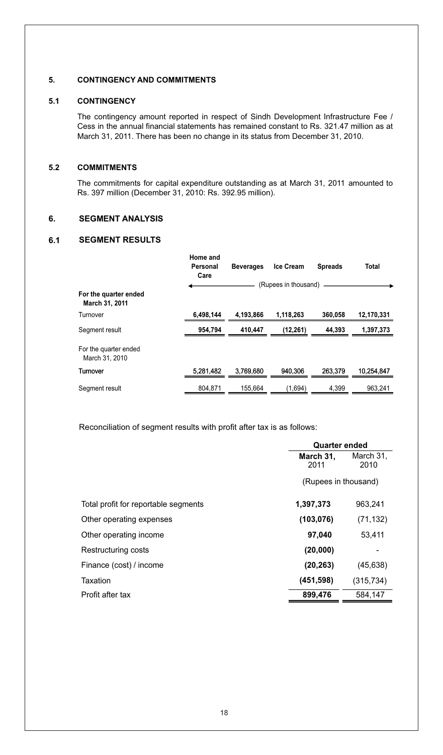#### **5. CONTINGENCY AND COMMITMENTS**

#### **5.1 CONTINGENCY**

The contingency amount reported in respect of Sindh Development Infrastructure Fee / Cess in the annual financial statements has remained constant to Rs. 321.47 million as at March 31, 2011. There has been no change in its status from December 31, 2010.

#### **5.2 COMMITMENTS**

The commitments for capital expenditure outstanding as at March 31, 2011 amounted to Rs. 397 million (December 31, 2010: Rs. 392.95 million).

#### **6. SEGMENT ANALYSIS**

#### **6.1 SEGMENT RESULTS**

|                                         | Home and<br>Personal<br>Care | <b>Beverages</b> | <b>Ice Cream</b>     | <b>Spreads</b> | Total      |
|-----------------------------------------|------------------------------|------------------|----------------------|----------------|------------|
|                                         |                              |                  | (Rupees in thousand) |                |            |
| For the quarter ended<br>March 31, 2011 |                              |                  |                      |                |            |
| Turnover                                | 6,498,144                    | 4.193.866        | 1,118,263            | 360,058        | 12,170,331 |
| Segment result                          | 954.794                      | 410.447          | (12, 261)            | 44.393         | 1,397,373  |
| For the quarter ended<br>March 31, 2010 |                              |                  |                      |                |            |
| Turnover                                | 5,281,482                    | 3.769.680        | 940.306              | 263.379        | 10,254,847 |
| Segment result                          | 804.871                      | 155.664          | (1.694)              | 4.399          | 963.241    |

Reconciliation of segment results with profit after tax is as follows:

|                                      | <b>Quarter ended</b> |                   |  |
|--------------------------------------|----------------------|-------------------|--|
|                                      | March 31.<br>2011    | March 31,<br>2010 |  |
|                                      | (Rupees in thousand) |                   |  |
| Total profit for reportable segments | 1,397,373            | 963,241           |  |
| Other operating expenses             | (103, 076)           | (71, 132)         |  |
| Other operating income               | 97,040               | 53.411            |  |
| Restructuring costs                  | (20,000)             |                   |  |
| Finance (cost) / income              | (20, 263)            | (45, 638)         |  |
| Taxation                             | (451, 598)           | (315, 734)        |  |
| Profit after tax                     | 899,476              | 584.147           |  |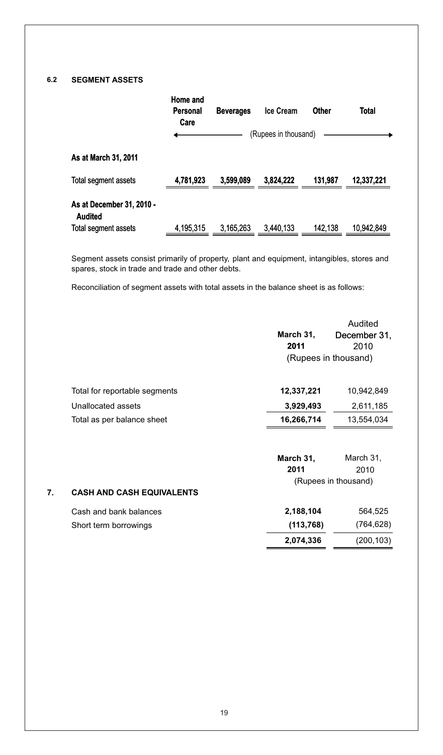## **6.2 SEGMENT ASSETS**

**7.**

|                                             | Home and<br>Personal<br>Care | <b>Beverages</b> | <b>Ice Cream</b>     | <b>Other</b> | <b>Total</b> |
|---------------------------------------------|------------------------------|------------------|----------------------|--------------|--------------|
|                                             |                              |                  | (Rupees in thousand) |              |              |
| As at March 31, 2011                        |                              |                  |                      |              |              |
| Total segment assets                        | 4,781,923                    | 3,599,089        | 3,824,222            | 131,987      | 12,337,221   |
| As at December 31, 2010 -<br><b>Audited</b> |                              |                  |                      |              |              |
| Total segment assets                        | 4,195,315                    | 3,165,263        | 3,440,133            | 142,138      | 10,942,849   |

Segment assets consist primarily of property, plant and equipment, intangibles, stores and spares, stock in trade and trade and other debts.

Reconciliation of segment assets with total assets in the balance sheet is as follows:

|                                  | March 31,<br>2011 | Audited<br>December 31,<br>2010 |
|----------------------------------|-------------------|---------------------------------|
|                                  |                   | (Rupees in thousand)            |
|                                  |                   |                                 |
| Total for reportable segments    | 12,337,221        | 10,942,849                      |
| Unallocated assets               | 3,929,493         | 2,611,185                       |
| Total as per balance sheet       | 16,266,714        | 13,554,034                      |
|                                  |                   |                                 |
|                                  | March 31,         | March 31,                       |
|                                  | 2011              | 2010                            |
|                                  |                   | (Rupees in thousand)            |
| <b>CASH AND CASH EQUIVALENTS</b> |                   |                                 |
| Cash and bank balances           | 2,188,104         | 564,525                         |
| Short term borrowings            | (113, 768)        | (764,628)                       |
|                                  | 2,074,336         | (200, 103)                      |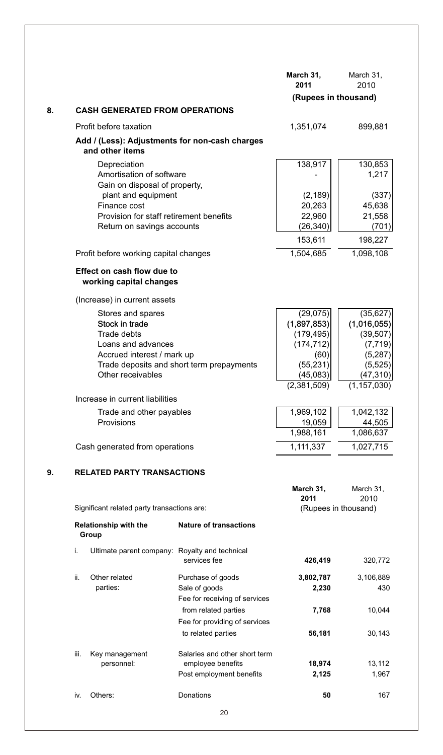|    |                                                                                                                                                                                                |                                                                                | March 31,<br>2011                                                                                    | March 31,<br>2010                                                                                      |
|----|------------------------------------------------------------------------------------------------------------------------------------------------------------------------------------------------|--------------------------------------------------------------------------------|------------------------------------------------------------------------------------------------------|--------------------------------------------------------------------------------------------------------|
| 8. | <b>CASH GENERATED FROM OPERATIONS</b>                                                                                                                                                          |                                                                                | (Rupees in thousand)                                                                                 |                                                                                                        |
|    | Profit before taxation                                                                                                                                                                         |                                                                                | 1,351,074                                                                                            | 899,881                                                                                                |
|    | Add / (Less): Adjustments for non-cash charges<br>and other items                                                                                                                              |                                                                                |                                                                                                      |                                                                                                        |
|    | Depreciation<br>Amortisation of software<br>Gain on disposal of property,<br>plant and equipment<br>Finance cost<br>Provision for staff retirement benefits<br>Return on savings accounts      |                                                                                | 138,917<br>(2, 189)<br>20,263<br>22,960<br>(26, 340)<br>153,611                                      | 130,853<br>1,217<br>(337)<br>45,638<br>21,558<br>(701)<br>198,227                                      |
|    | Profit before working capital changes                                                                                                                                                          |                                                                                | 1,504,685                                                                                            | 1,098,108                                                                                              |
|    | Effect on cash flow due to<br>working capital changes                                                                                                                                          |                                                                                |                                                                                                      |                                                                                                        |
|    | (Increase) in current assets<br>Stores and spares<br>Stock in trade<br>Trade debts<br>Loans and advances<br>Accrued interest / mark up<br>Other receivables<br>Increase in current liabilities | Trade deposits and short term prepayments                                      | (29, 075)<br>(1,897,853)<br>(179, 495)<br>(174, 712)<br>(60)<br>(55, 231)<br>(45,083)<br>(2,381,509) | (35, 627)<br>(1,016,055)<br>(39, 507)<br>(7, 719)<br>(5,287)<br>(5, 525)<br>(47, 310)<br>(1, 157, 030) |
|    | Trade and other payables                                                                                                                                                                       |                                                                                | 1,969,102                                                                                            | 1,042,132                                                                                              |
|    | Provisions                                                                                                                                                                                     |                                                                                | 19,059                                                                                               | 44,505                                                                                                 |
|    |                                                                                                                                                                                                |                                                                                | 1,988,161                                                                                            | 1,086,637                                                                                              |
|    | Cash generated from operations                                                                                                                                                                 |                                                                                | 1,111,337                                                                                            | 1,027,715                                                                                              |
| ນ. | ATED PARTY TRANSACTIONS                                                                                                                                                                        |                                                                                |                                                                                                      |                                                                                                        |
|    | Significant related party transactions are:                                                                                                                                                    |                                                                                | March 31,<br>2011<br>(Rupees in thousand)                                                            | March 31,<br>2010                                                                                      |
|    | <b>Relationship with the</b><br>Group                                                                                                                                                          | <b>Nature of transactions</b>                                                  |                                                                                                      |                                                                                                        |
|    | Ultimate parent company: Royalty and technical<br>i.                                                                                                                                           | services fee                                                                   | 426,419                                                                                              | 320,772                                                                                                |
|    | ii.<br>Other related<br>parties:                                                                                                                                                               | Purchase of goods<br>Sale of goods<br>Fee for receiving of services            | 3,802,787<br>2,230                                                                                   | 3,106,889<br>430                                                                                       |
|    |                                                                                                                                                                                                | from related parties<br>Fee for providing of services<br>to related parties    | 7,768<br>56,181                                                                                      | 10,044<br>30,143                                                                                       |
|    | iii.<br>Key management<br>personnel:                                                                                                                                                           | Salaries and other short term<br>employee benefits<br>Post employment benefits | 18,974<br>2,125                                                                                      | 13,112<br>1,967                                                                                        |
|    | Others:<br>iv.                                                                                                                                                                                 | <b>Donations</b>                                                               | 50                                                                                                   | 167                                                                                                    |